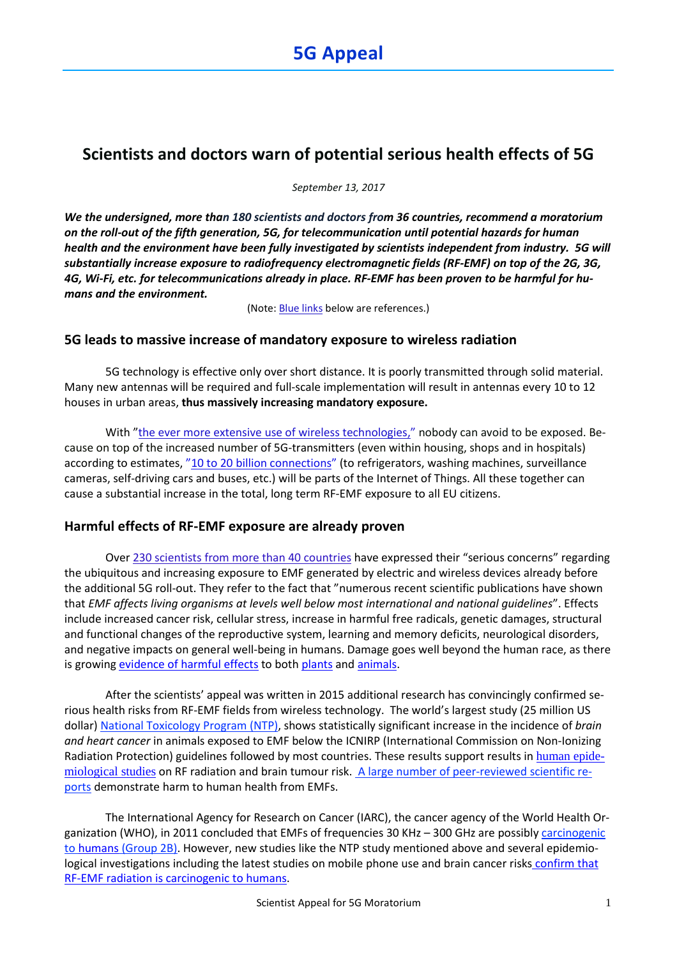## **Scientists and doctors warn of potential serious health effects of 5G**

*September 13, 2017*

*We the undersigned, more than 180 scientists and doctors from 36 countries, recommend a moratorium on the roll-out of the fifth generation, 5G, for telecommunication until potential hazards for human health and the environment have been fully investigated by scientists independent from industry. 5G will substantially increase exposure to radiofrequency electromagnetic fields (RF-EMF) on top of the 2G, 3G, 4G, Wi-Fi, etc. for telecommunications already in place. RF-EMF has been proven to be harmful for humans and the environment.* 

(Note: **Blue links** below are references.)

## **5G leads to massive increase of mandatory exposure to wireless radiation**

5G technology is effective only over short distance. It is poorly transmitted through solid material. Many new antennas will be required and full-scale implementation will result in antennas every 10 to 12 houses in urban areas, **thus massively increasing mandatory exposure.**

With "the ever more extensive use of wireless [technologies,](https://www.ncbi.nlm.nih.gov/pubmed/26372109)" nobody can avoid to be exposed. Because on top of the increased number of 5G-transmitters (even within housing, shops and in hospitals) according to estimates, "10 to 20 billion [connections](https://www.forbes.com/sites/markpmills/2016/09/28/the-internet-of-things-wont-be-big-itll-be-huge/)" (to refrigerators, washing machines, surveillance cameras, self-driving cars and buses, etc.) will be parts of the Internet of Things. All these together can cause a substantial increase in the total, long term RF-EMF exposure to all EU citizens.

## **Harmful effects of RF-EMF exposure are already proven**

Over 230 scientists from more than 40 [countries](https://emfscientist.org/index.php/emf-scientist-appeal) have expressed their "serious concerns" regarding the ubiquitous and increasing exposure to EMF generated by electric and wireless devices already before the additional 5G roll-out. They refer to the fact that "numerous recent scientific publications have shown that *EMF affects living organisms at levels well below most international and national guidelines*". Effects include increased cancer risk, cellular stress, increase in harmful free radicals, genetic damages, structural and functional changes of the reproductive system, learning and memory deficits, neurological disorders, and negative impacts on general well-being in humans. Damage goes well beyond the human race, as there is growing [evidence](https://link.springer.com/article/10.1007/s10669-011-9307-z) of harmful effects to both [plants](https://www.ncbi.nlm.nih.gov/pubmed/27552133) and [animals.](http://www.sciencedirect.com/science/article/pii/S0928468009000030)

After the scientists' appeal was written in 2015 additional research has convincingly confirmed serious health risks from RF-EMF fields from wireless technology. The world's largest study (25 million US dollar) National [Toxicology](http://biorxiv.org/content/biorxiv/early/2016/05/26/055699.full.pdf) Program (NTP), shows statistically significant increase in the incidence of *brain and heart cancer* in animals exposed to EMF below the ICNIRP (International Commission on Non-Ionizing Radiation Protection) guidelines followed by most countries. These results support results in [human](https://www.hindawi.com/journals/bmri/2017/9218486/abs/) epide[miological](https://www.hindawi.com/journals/bmri/2017/9218486/abs/) studies on RF radiation and brain tumour risk. A large number of [peer-reviewed](http://bioinitiative.org/) scientific re[ports](http://bioinitiative.org/) demonstrate harm to human health from EMFs.

The International Agency for Research on Cancer (IARC), the cancer agency of the World Health Organization (WHO), in 2011 concluded that EMFs of frequencies 30 KHz – 300 GHz are possibly [carcinogenic](http://monographs.iarc.fr/ENG/Monographs/vol102/mono102.pdf) to [humans](http://www.iarc.fr/en/media-centre/pr/2011/pdfs/pr208_E.pdf) (Group 2B). However, new studies like the NTP study mentioned above and several epidemiological investigations including the latest studies on mobile phone use and brain cancer risks [confirm](https://www.ncbi.nlm.nih.gov/pmc/articles/PMC5376454/) that RF-EMF radiation is [carcinogenic](https://www.ncbi.nlm.nih.gov/pmc/articles/PMC5376454/) to humans.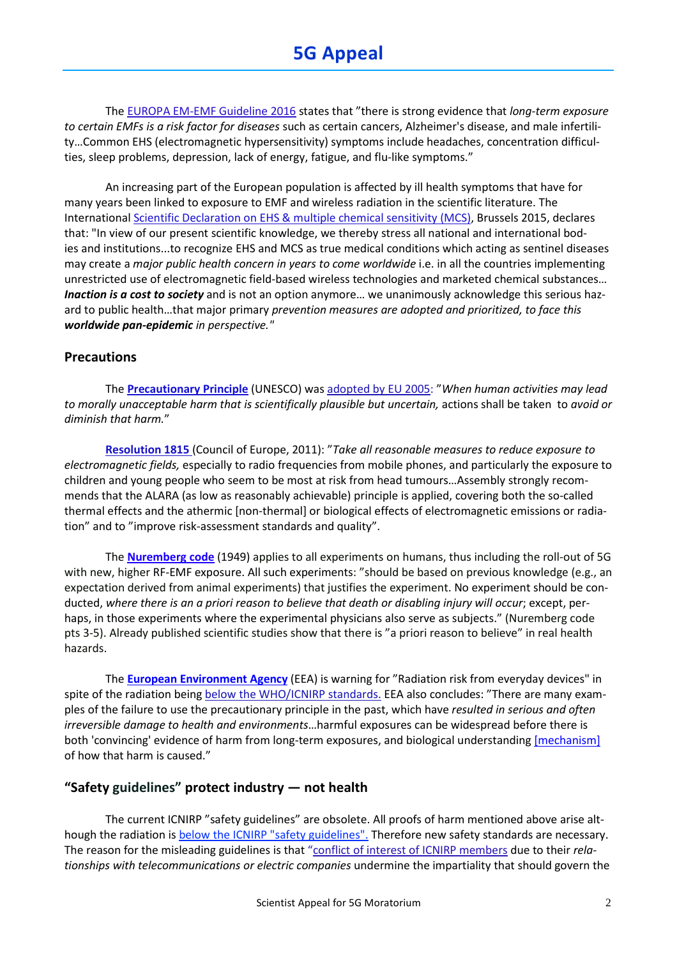The EUROPA EM-EMF [Guideline](https://www.ncbi.nlm.nih.gov/pubmed/27454111) 2016 states that "there is strong evidence that *long-term exposure to certain EMFs is a risk factor for diseases* such as certain cancers, Alzheimer's disease, and male infertility…Common EHS (electromagnetic hypersensitivity) symptoms include headaches, concentration difficulties, sleep problems, depression, lack of energy, fatigue, and flu-like symptoms."

An increasing part of the European population is affected by ill health symptoms that have for many years been linked to exposure to EMF and wireless radiation in the scientific literature. The International Scientific [Declaration](http://www.ehs-mcs.org/en/) on EHS & multiple chemical sensitivity (MCS), Brussels 2015, declares that: "In view of our present scientific knowledge, we thereby stress all national and international bodies and institutions...to recognize EHS and MCS as true medical conditions which acting as sentinel diseases may create a *major public health concern in years to come worldwide* i.e. in all the countries implementing unrestricted use of electromagnetic field-based wireless technologies and marketed chemical substances… *Inaction is a cost to society* and is not an option anymore… we unanimously acknowledge this serious hazard to public health…that major primary *prevention measures are adopted and prioritized, to face this worldwide pan-epidemic in perspective."*

## **Precautions**

The **[Precautionary](http://eur-lex.europa.eu/summary/glossary/precautionary_principle.html) Principle** (UNESCO) was [adopted](http://www.precautionaryprinciple.eu/) by EU 2005: "*When human activities may lead to morally unacceptable harm that is scientifically plausible but uncertain,* actions shall be taken to *avoid or diminish that harm.*"

**[Resolution](http://assembly.coe.int/nw/xml/XRef/Xref-XML2HTML-en.asp?fileid=17994) 1815** (Council of Europe, 2011): "*Take all reasonable measures to reduce exposure to electromagnetic fields,* especially to radio frequencies from mobile phones, and particularly the exposure to children and young people who seem to be most at risk from head tumours…Assembly strongly recommends that the ALARA (as low as reasonably achievable) principle is applied, covering both the so-called thermal effects and the athermic [non-thermal] or biological effects of electromagnetic emissions or radiation" and to "improve risk-assessment standards and quality".

The **[Nuremberg](https://history.nih.gov/research/downloads/nuremberg.pdf) code** (1949) applies to all experiments on humans, thus including the roll-out of 5G with new, higher RF-EMF exposure. All such experiments: "should be based on previous knowledge (e.g., an expectation derived from animal experiments) that justifies the experiment. No experiment should be conducted, *where there is an a priori reason to believe that death or disabling injury will occur*; except, perhaps, in those experiments where the experimental physicians also serve as subjects." (Nuremberg code pts 3-5). Already published scientific studies show that there is "a priori reason to believe" in real health hazards.

The **European [Environment](https://www.eea.europa.eu/highlights/radiation-risk-from-everyday-devices-assessed) Agency** (EEA) is warning for "Radiation risk from everyday devices" in spite of the radiation being below the [WHO/ICNIRP](https://olgasheean.com/wp-content/uploads/2017/02/WHO-setting-the-standard-for-a-wireless-world-of-harm.pdf) standards. EEA also concludes: "There are many examples of the failure to use the precautionary principle in the past, which have *resulted in serious and often irreversible damage to health and environments*…harmful exposures can be widespread before there is both 'convincing' evidence of harm from long-term exposures, and biological understanding [\[mechanism\]](http://www.sciencedirect.com/science/article/pii/S0891061815000599) of how that harm is caused."

## **"Safety guidelines" protect industry — not health**

The current ICNIRP "safety guidelines" are obsolete. All proofs of harm mentioned above arise although the radiation is **below the ICNIRP** "safety [guidelines".](https://olgasheean.com/wp-content/uploads/2017/02/WHO-setting-the-standard-for-a-wireless-world-of-harm.pdf) Therefore new safety standards are necessary. The reason for the misleading guidelines is that "conflict of interest of ICNIRP [members](https://www.spandidos-publications.com/ijo/51/2/405) due to their *relationships with telecommunications or electric companies* undermine the impartiality that should govern the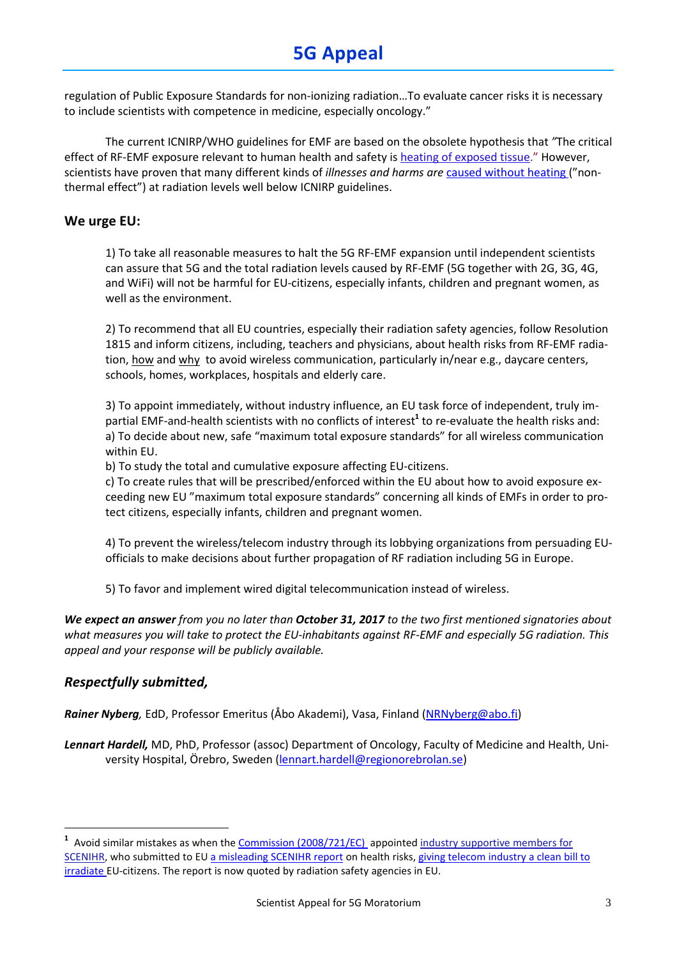regulation of Public Exposure Standards for non-ionizing radiation…To evaluate cancer risks it is necessary to include scientists with competence in medicine, especially oncology."

The current ICNIRP/WHO guidelines for EMF are based on the obsolete hypothesis that *"*The critical effect of RF-EMF exposure relevant to human health and safety is heating of [exposed](http://www.icnirp.org/en/frequencies/high-frequency/index.html) tissue." However, scientists have proven that many different kinds of *illnesses and harms are* caused [without](http://www.bioinitiative.org/rf-color-charts/) heating ("nonthermal effect") at radiation levels well below ICNIRP guidelines.

## **We urge EU:**

1) To take all reasonable measures to halt the 5G RF-EMF expansion until independent scientists can assure that 5G and the total radiation levels caused by RF-EMF (5G together with 2G, 3G, 4G, and WiFi) will not be harmful for EU-citizens, especially infants, children and pregnant women, as well as the environment.

2) To recommend that all EU countries, especially their radiation safety agencies, follow Resolution 1815 and inform citizens, including, teachers and physicians, about health risks from RF-EMF radiation, how and why to avoid wireless communication, particularly in/near e.g., daycare centers, schools, homes, workplaces, hospitals and elderly care.

3) To appoint immediately, without industry influence, an EU task force of independent, truly impartial EMF-and-health scientists with no conflicts of interest**<sup>1</sup>** to re-evaluate the health risks and: a) To decide about new, safe "maximum total exposure standards" for all wireless communication within EU.

b) To study the total and cumulative exposure affecting EU-citizens.

c) To create rules that will be prescribed/enforced within the EU about how to avoid exposure exceeding new EU "maximum total exposure standards" concerning all kinds of EMFs in order to protect citizens, especially infants, children and pregnant women.

4) To prevent the wireless/telecom industry through its lobbying organizations from persuading EUofficials to make decisions about further propagation of RF radiation including 5G in Europe.

5) To favor and implement wired digital telecommunication instead of wireless.

We expect an answer from you no later than October 31, 2017 to the two first mentioned signatories about *what measures you will take to protect the EU-inhabitants against RF-EMF and especially 5G radiation. This appeal and your response will be publicly available.*

## *Respectfully submitted,*

 $\overline{a}$ 

*Rainer Nyberg,* EdD, Professor Emeritus (Åbo Akademi), Vasa, Finland [\(NRNyberg@abo.fi\)](mailto:NRNyberg@abo.fi)

*Lennart Hardell,* MD, PhD, Professor (assoc) Department of Oncology, Faculty of Medicine and Health, University Hospital, Örebro, Sweden [\(lennart.hardell@regionorebrolan.se\)](mailto:lennart.hardell@regionorebrolan.se)

<sup>&</sup>lt;sup>1</sup> Avoid similar mistakes as when the Commission [\(2008/721/EC\)](http://eur-lex.europa.eu/LexUriServ/LexUriServ.do?uri=OJ:L:2008:241:0021:0030:EN:PDF) appointed industry [supportive](http://www.stralskyddsstiftelsen.se/wp-content/uploads/2015/09/Annex_1_SCENIHR_Experts_2015.pdf) members for [SCENIHR,](http://www.stralskyddsstiftelsen.se/wp-content/uploads/2015/09/Annex_1_SCENIHR_Experts_2015.pdf) who submitted to EU a [misleading](http://www.bioinitiative.org/report/wp-content/uploads/pdfs/BIWG-SCENIHRrebuttalToOpinion2015.pdf) SCENIHR report on health risks, giving telecom [industry](http://ec.europa.eu/health/scientific_committees/emerging/docs/scenihr_o_041.pdf) a clean bill to [irradiate](http://ec.europa.eu/health/scientific_committees/emerging/docs/scenihr_o_041.pdf) EU-citizens. The report is now quoted by radiation safety agencies in EU.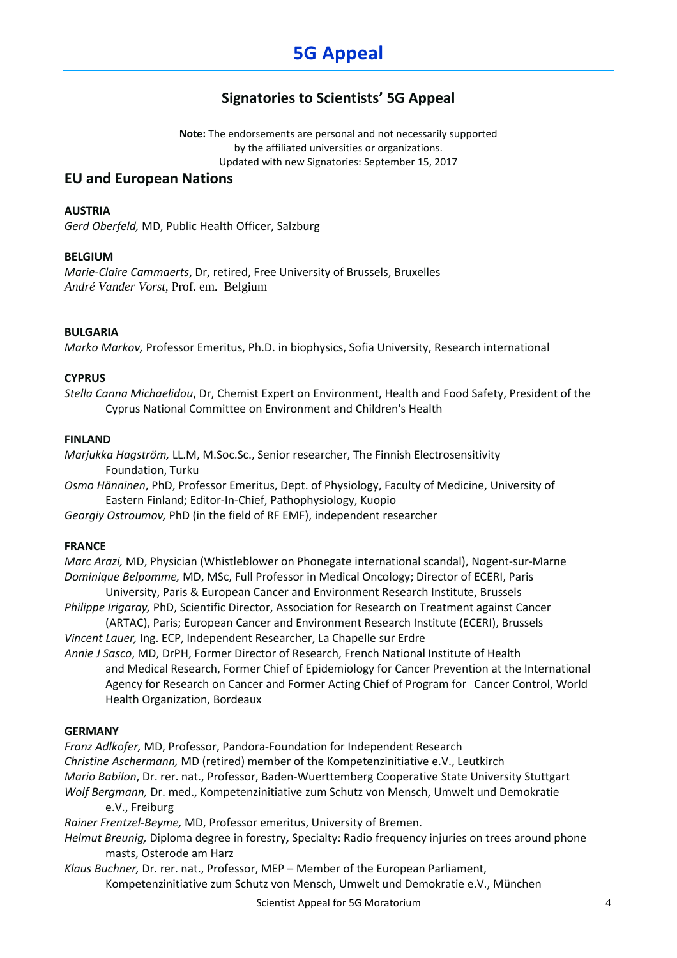

## **Signatories to Scientists' 5G Appeal**

**Note:** The endorsements are personal and not necessarily supported by the affiliated universities or organizations. Updated with new Signatories: September 15, 2017

## **EU and European Nations**

## **AUSTRIA**

*Gerd Oberfeld,* MD, Public Health Officer, Salzburg

## **BELGIUM**

*Marie-Claire Cammaerts*, Dr, retired, Free University of Brussels, Bruxelles *André Vander Vorst,* Prof. em. Belgium

## **BULGARIA**

*Marko Markov,* Professor Emeritus, Ph.D. in biophysics, Sofia University, Research international

## **CYPRUS**

*Stella Canna Michaelidou*, Dr, Chemist Expert on Environment, Health and Food Safety, President of the Cyprus National Committee on Environment and Children's Health

## **FINLAND**

*Marjukka Hagström,* LL.M, M.Soc.Sc., Senior researcher, The Finnish Electrosensitivity Foundation, Turku

*Osmo Hänninen*, PhD, Professor Emeritus, Dept. of Physiology, Faculty of Medicine, University of Eastern Finland; Editor-In-Chief, Pathophysiology, Kuopio

*Georgiy Ostroumov,* PhD (in the field of RF EMF), independent researcher

## **FRANCE**

*Marc Arazi,* MD, Physician (Whistleblower on Phonegate international scandal), Nogent-sur-Marne *Dominique Belpomme,* MD, MSc, Full Professor in Medical Oncology; Director of ECERI, Paris

University, Paris & European Cancer and Environment Research Institute, Brussels *Philippe Irigaray,* PhD, Scientific Director, Association for Research on Treatment against Cancer

(ARTAC), Paris; European Cancer and Environment Research Institute (ECERI), Brussels *Vincent Lauer,* Ing. ECP, Independent Researcher, La Chapelle sur Erdre

*Annie J Sasco*, MD, DrPH, Former Director of Research, French National Institute of Health and Medical Research, Former Chief of Epidemiology for Cancer Prevention at the International Agency for Research on Cancer and Former Acting Chief of Program for Cancer Control, World Health Organization, Bordeaux

## **GERMANY**

*Franz Adlkofer,* MD, Professor, Pandora-Foundation for Independent Research *Christine Aschermann,* MD (retired) member of the Kompetenzinitiative e.V., Leutkirch *Mario Babilon*, Dr. rer. nat., Professor, Baden-Wuerttemberg Cooperative State University Stuttgart *Wolf Bergmann,* Dr. med., Kompetenzinitiative zum Schutz von Mensch, Umwelt und Demokratie

#### e.V., Freiburg

*Rainer Frentzel-Beyme,* MD, Professor emeritus, University of Bremen.

- *Helmut Breunig,* Diploma degree in forestry**,** Specialty: Radio frequency injuries on trees around phone masts, Osterode am Harz
- *Klaus Buchner,* Dr. rer. nat., Professor, MEP Member of the European Parliament, Kompetenzinitiative zum Schutz von Mensch, Umwelt und Demokratie e.V., München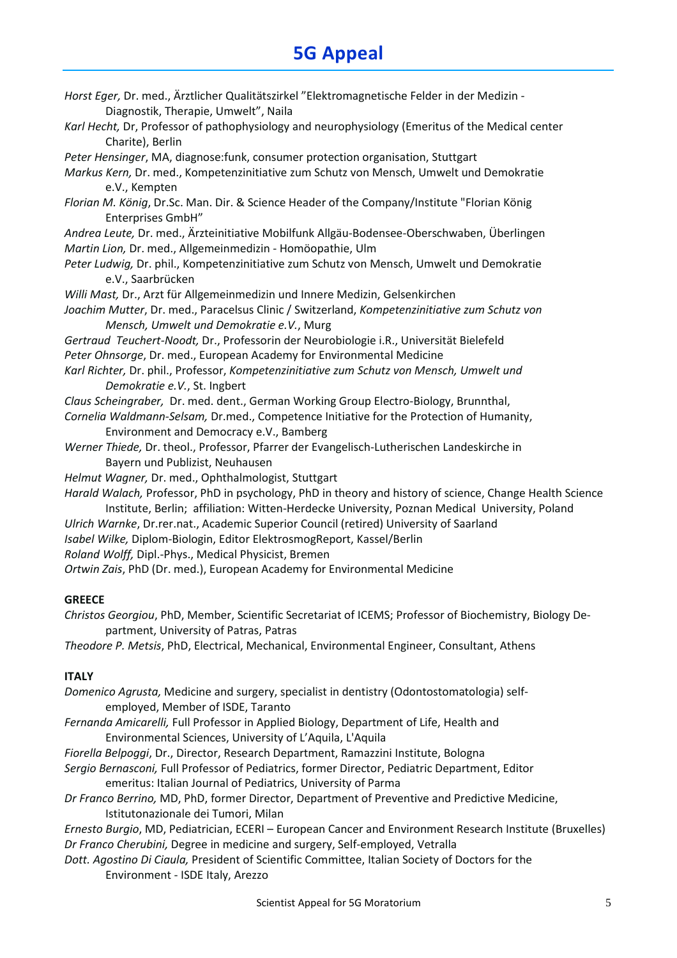*Horst Eger,* Dr. med., Ärztlicher Qualitätszirkel "Elektromagnetische Felder in der Medizin - Diagnostik, Therapie, Umwelt", Naila *Karl Hecht,* Dr, Professor of pathophysiology and neurophysiology (Emeritus of the Medical center Charite), Berlin *Peter Hensinger*, MA, diagnose:funk, consumer protection organisation, Stuttgart *Markus Kern,* Dr. med., Kompetenzinitiative zum Schutz von Mensch, Umwelt und Demokratie e.V., Kempten *Florian M. König*, Dr.Sc. Man. Dir. & Science Header of the Company/Institute "Florian König Enterprises GmbH" *Andrea Leute,* Dr. med., Ärzteinitiative Mobilfunk Allgäu-Bodensee-Oberschwaben, Überlingen *Martin Lion,* Dr. med., Allgemeinmedizin - Homöopathie, Ulm *Peter Ludwig,* Dr. phil., Kompetenzinitiative zum Schutz von Mensch, Umwelt und Demokratie e.V., Saarbrücken *Willi Mast,* Dr., Arzt für Allgemeinmedizin und Innere Medizin, Gelsenkirchen *Joachim Mutter*, Dr. med., Paracelsus Clinic / Switzerland, *Kompetenzinitiative zum Schutz von Mensch, Umwelt und Demokratie e.V.*, Murg *Gertraud Teuchert-Noodt,* Dr., Professorin der Neurobiologie i.R., Universität Bielefeld *Peter Ohnsorge*, Dr. med., European Academy for Environmental Medicine *Karl Richter,* Dr. phil., Professor, *Kompetenzinitiative zum Schutz von Mensch, Umwelt und Demokratie e.V.*, St. Ingbert *Claus Scheingraber,* Dr. med. dent., German Working Group Electro-Biology, Brunnthal, *Cornelia Waldmann-Selsam,* Dr.med., Competence Initiative for the Protection of Humanity, Environment and Democracy e.V., Bamberg *Werner Thiede,* Dr. theol., Professor, Pfarrer der Evangelisch-Lutherischen Landeskirche in Bayern und Publizist, Neuhausen *Helmut Wagner,* Dr. med., Ophthalmologist, Stuttgart *Harald Walach,* Professor, PhD in psychology, PhD in theory and history of science, Change Health Science Institute, Berlin; affiliation: Witten-Herdecke University, Poznan Medical University, Poland *Ulrich Warnke*, Dr.rer.nat., Academic Superior Council (retired) University of Saarland *Isabel Wilke,* Diplom-Biologin, Editor ElektrosmogReport, Kassel/Berlin *Roland Wolff,* Dipl.-Phys., Medical Physicist, Bremen *Ortwin Zais*, PhD (Dr. med.), European Academy for Environmental Medicine **GREECE**

*Christos Georgiou*, PhD, Member, Scientific Secretariat of ICEMS; Professor of Biochemistry, Biology Department, University of Patras, Patras

*Theodore P. Metsis*, PhD, Electrical, Mechanical, Environmental Engineer, Consultant, Athens

## **ITALY**

*Domenico Agrusta,* Medicine and surgery, specialist in dentistry (Odontostomatologia) selfemployed, Member of ISDE, Taranto

*Fernanda Amicarelli,* Full Professor in Applied Biology, Department of Life, Health and Environmental Sciences, University of L'Aquila, L'Aquila

*Fiorella Belpoggi*, Dr., Director, Research Department, Ramazzini Institute, Bologna

*Sergio Bernasconi,* Full Professor of Pediatrics, former Director, Pediatric Department, Editor emeritus: Italian Journal of Pediatrics, University of Parma

*Dr Franco Berrino,* MD, PhD, former Director, Department of Preventive and Predictive Medicine, Istitutonazionale dei Tumori, Milan

*Ernesto Burgio*, MD, Pediatrician, ECERI – European Cancer and Environment Research Institute (Bruxelles) *Dr Franco Cherubini,* Degree in medicine and surgery, Self-employed, Vetralla

*Dott. Agostino Di Ciaula,* President of Scientific Committee, Italian Society of Doctors for the Environment - ISDE Italy, Arezzo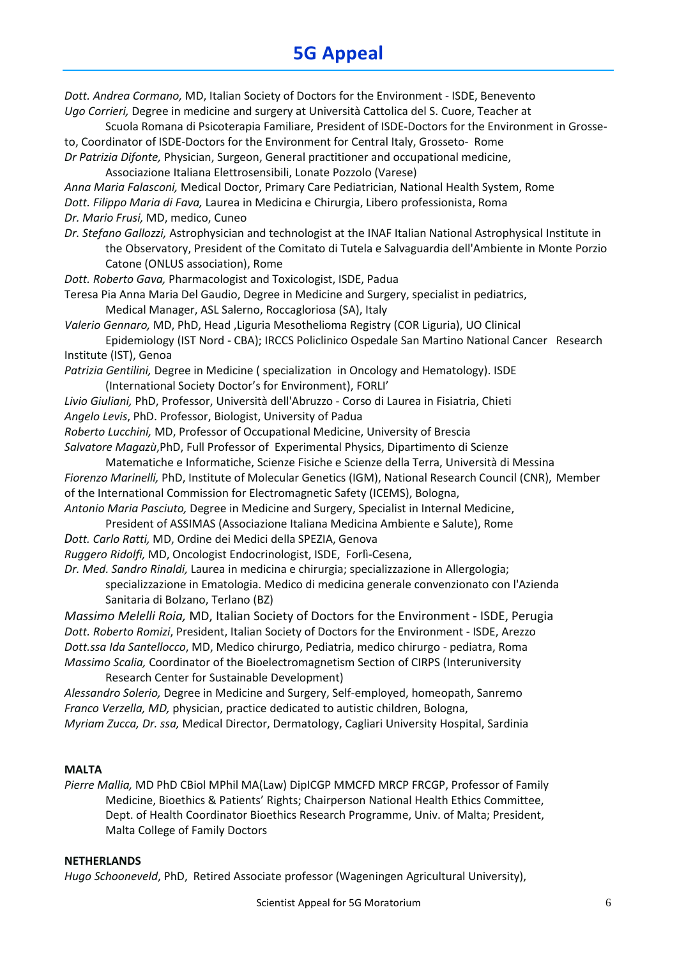*Dott. Andrea Cormano,* MD, Italian Society of Doctors for the Environment - ISDE, Benevento *Ugo Corrieri,* Degree in medicine and surgery at Università Cattolica del S. Cuore, Teacher at

Scuola Romana di Psicoterapia Familiare, President of ISDE-Doctors for the Environment in Grosseto, Coordinator of ISDE-Doctors for the Environment for Central Italy, Grosseto- Rome

*Dr Patrizia Difonte,* Physician, Surgeon, General practitioner and occupational medicine, Associazione Italiana Elettrosensibili, Lonate Pozzolo (Varese)

*Anna Maria Falasconi,* Medical Doctor, Primary Care Pediatrician, National Health System, Rome *Dott. Filippo Maria di Fava,* Laurea in Medicina e Chirurgia, Libero professionista, Roma *Dr. Mario Frusi,* MD, medico, Cuneo

*Dr. Stefano Gallozzi,* Astrophysician and technologist at the INAF Italian National Astrophysical Institute in the Observatory, President of the Comitato di Tutela e Salvaguardia dell'Ambiente in Monte Porzio Catone (ONLUS association), Rome

*Dott. Roberto Gava,* Pharmacologist and Toxicologist, ISDE, Padua

Teresa Pia Anna Maria Del Gaudio, Degree in Medicine and Surgery, specialist in pediatrics, Medical Manager, ASL Salerno, Roccagloriosa (SA), Italy

*Valerio Gennaro,* MD, PhD, Head ,Liguria Mesothelioma Registry (COR Liguria), UO Clinical

Epidemiology (IST Nord - CBA); IRCCS Policlinico Ospedale San Martino National Cancer Research Institute (IST), Genoa

*Patrizia Gentilini,* Degree in Medicine ( specialization in Oncology and Hematology). ISDE (International Society Doctor's for Environment), FORLI'

*Livio Giuliani,* PhD, Professor, Università dell'Abruzzo - Corso di Laurea in Fisiatria, Chieti *Angelo Levis*, PhD. Professor, Biologist, University of Padua

*Roberto Lucchini,* MD, Professor of Occupational Medicine, University of Brescia

*Salvatore Magazù*,PhD, Full Professor of Experimental Physics, Dipartimento di Scienze

Matematiche e Informatiche, Scienze Fisiche e Scienze della Terra, Università di Messina *Fiorenzo Marinelli,* PhD, Institute of Molecular Genetics (IGM), National Research Council (CNR), Member of the International Commission for Electromagnetic Safety (ICEMS), Bologna,

*Antonio Maria Pasciuto,* Degree in Medicine and Surgery, Specialist in Internal Medicine,

President of ASSIMAS (Associazione Italiana Medicina Ambiente e Salute), Rome

*Dott. Carlo Ratti,* MD, Ordine dei Medici della SPEZIA, Genova

*Ruggero Ridolfi,* MD, Oncologist Endocrinologist, ISDE, Forlì-Cesena,

*Dr. Med. Sandro Rinaldi,* Laurea in medicina e chirurgia; specializzazione in Allergologia; specializzazione in Ematologia. Medico di medicina generale convenzionato con l'Azienda

Sanitaria di Bolzano, Terlano (BZ)

*Massimo Melelli Roia,* MD, Italian Society of Doctors for the Environment - ISDE, Perugia *Dott. Roberto Romizi*, President, Italian Society of Doctors for the Environment - ISDE, Arezzo *Dott.ssa Ida Santellocco*, MD, Medico chirurgo, Pediatria, medico chirurgo - pediatra, Roma *Massimo Scalia,* Coordinator of the Bioelectromagnetism Section of CIRPS (Interuniversity

Research Center for Sustainable Development)

*Alessandro Solerio,* Degree in Medicine and Surgery, Self-employed, homeopath, Sanremo *Franco Verzella, MD,* physician, practice dedicated to autistic children, Bologna, *Myriam Zucca, Dr. ssa,* M*e*dical Director, Dermatology, Cagliari University Hospital, Sardinia

## **MALTA**

*Pierre Mallia,* MD PhD CBiol MPhil MA(Law) DipICGP MMCFD MRCP FRCGP, Professor of Family Medicine, Bioethics & Patients' Rights; Chairperson National Health Ethics Committee, Dept. of Health Coordinator Bioethics Research Programme, Univ. of Malta; President, Malta College of Family Doctors

## **NETHERLANDS**

*Hugo Schooneveld*, PhD, Retired Associate professor (Wageningen Agricultural University),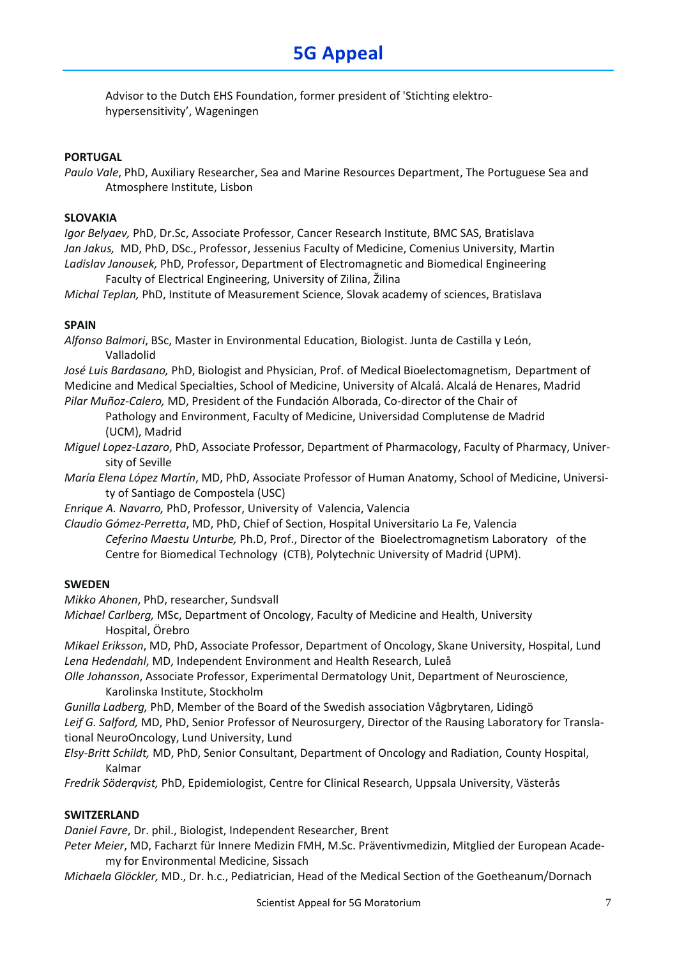Advisor to the Dutch EHS Foundation, former president of 'Stichting elektrohypersensitivity', Wageningen

## **PORTUGAL**

*Paulo Vale*, PhD, Auxiliary Researcher, Sea and Marine Resources Department, The Portuguese Sea and Atmosphere Institute, Lisbon

## **SLOVAKIA**

*Igor Belyaev,* PhD, Dr.Sc, Associate Professor, Cancer Research Institute, BMC SAS, Bratislava *Jan Jakus,* MD, PhD, DSc., Professor, Jessenius Faculty of Medicine, Comenius University, Martin *Ladislav Janousek,* PhD, Professor, Department of Electromagnetic and Biomedical Engineering

Faculty of Electrical Engineering, University of Zilina, Žilina *Michal Teplan,* PhD, Institute of Measurement Science, Slovak academy of sciences, Bratislava

## **SPAIN**

*Alfonso Balmori*, BSc, Master in Environmental Education, Biologist. Junta de Castilla y León, Valladolid

*José Luis Bardasano,* PhD, Biologist and Physician, Prof. of Medical Bioelectomagnetism, Department of Medicine and Medical Specialties, School of Medicine, University of Alcalá. Alcalá de Henares, Madrid *Pilar Muñoz-Calero,* MD, President of the Fundación Alborada, Co-director of the Chair of

Pathology and Environment, Faculty of Medicine, Universidad Complutense de Madrid (UCM), Madrid

*Miguel Lopez-Lazaro*, PhD, Associate Professor, Department of Pharmacology, Faculty of Pharmacy, University of Seville

*María Elena López Martín*, MD, PhD, Associate Professor of Human Anatomy, School of Medicine, University of Santiago de Compostela (USC)

*Enrique A. Navarro,* PhD, Professor, University of Valencia, Valencia

*Claudio Gómez-Perretta*, MD, PhD, Chief of Section, Hospital Universitario La Fe, Valencia *Ceferino Maestu Unturbe,* Ph.D, Prof., Director of the Bioelectromagnetism Laboratory of the Centre for Biomedical Technology (CTB), Polytechnic University of Madrid (UPM).

## **SWEDEN**

*Mikko Ahonen*, PhD, researcher, Sundsvall

*Michael Carlberg,* MSc, Department of Oncology, Faculty of Medicine and Health, University Hospital, Örebro

*Mikael Eriksson*, MD, PhD, Associate Professor, Department of Oncology, Skane University, Hospital, Lund *Lena Hedendahl*, MD, Independent Environment and Health Research, Luleå

*Olle Johansson*, Associate Professor, Experimental Dermatology Unit, Department of Neuroscience, Karolinska Institute, Stockholm

*Gunilla Ladberg,* PhD, Member of the Board of the Swedish association Vågbrytaren, Lidingö *Leif G. Salford,* MD, PhD, Senior Professor of Neurosurgery, Director of the Rausing Laboratory for Translational NeuroOncology, Lund University, Lund

*Elsy-Britt Schildt,* MD, PhD, Senior Consultant, Department of Oncology and Radiation, County Hospital, Kalmar

*Fredrik Söderqvist,* PhD, Epidemiologist, Centre for Clinical Research, Uppsala University, Västerås

## **SWITZERLAND**

*Daniel Favre*, Dr. phil., Biologist, Independent Researcher, Brent

*Peter Meier*, MD, Facharzt für Innere Medizin FMH, M.Sc. Präventivmedizin, Mitglied der European Academy for Environmental Medicine, Sissach

*Michaela Glöckler,* MD., Dr. h.c., Pediatrician, Head of the Medical Section of the Goetheanum/Dornach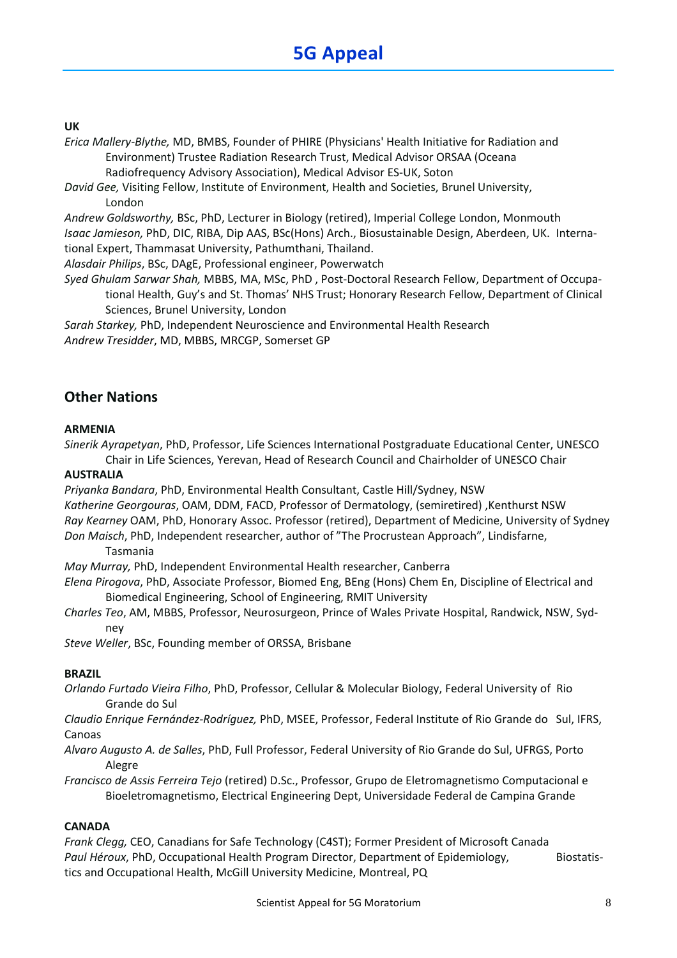## **UK**

*Erica Mallery-Blythe,* MD, BMBS, Founder of PHIRE (Physicians' Health Initiative for Radiation and Environment) Trustee Radiation Research Trust, Medical Advisor ORSAA (Oceana Radiofrequency Advisory Association), Medical Advisor ES-UK, Soton

*David Gee,* Visiting Fellow, Institute of Environment, Health and Societies, Brunel University, London

*Andrew Goldsworthy,* BSc, PhD, Lecturer in Biology (retired), Imperial College London, Monmouth *Isaac Jamieson,* PhD, DIC, RIBA, Dip AAS, BSc(Hons) Arch., Biosustainable Design, Aberdeen, UK. Interna-

tional Expert, Thammasat University, Pathumthani, Thailand.

*Alasdair Philips*, BSc, DAgE, Professional engineer, Powerwatch

*Syed Ghulam Sarwar Shah,* MBBS, MA, MSc, PhD , Post-Doctoral Research Fellow, Department of Occupational Health, Guy's and St. Thomas' NHS Trust; Honorary Research Fellow, Department of Clinical Sciences, Brunel University, London

*Sarah Starkey,* PhD, Independent Neuroscience and Environmental Health Research *Andrew Tresidder*, MD, MBBS, MRCGP, Somerset GP

## **Other Nations**

## **ARMENIA**

*Sinerik Ayrapetyan*, PhD, Professor, Life Sciences International Postgraduate Educational Center, UNESCO Chair in Life Sciences, Yerevan, Head of Research Council and Chairholder of UNESCO Chair

## **AUSTRALIA**

*Priyanka Bandara*, PhD, Environmental Health Consultant, Castle Hill/Sydney, NSW

*Katherine Georgouras*, OAM, DDM, FACD, Professor of Dermatology, (semiretired) ,Kenthurst NSW *Ray Kearney* OAM, PhD, Honorary Assoc. Professor (retired), Department of Medicine, University of Sydney *Don Maisch*, PhD, Independent researcher, author of "The Procrustean Approach", Lindisfarne,

Tasmania

*May Murray,* PhD, Independent Environmental Health researcher, Canberra

*Elena Pirogova*, PhD, Associate Professor, Biomed Eng, BEng (Hons) Chem En, Discipline of Electrical and Biomedical Engineering, School of Engineering, RMIT University

*Charles Teo*, AM, MBBS, Professor, Neurosurgeon, Prince of Wales Private Hospital, Randwick, NSW, Sydney

*Steve Weller*, BSc, Founding member of ORSSA, Brisbane

## **BRAZIL**

*Orlando Furtado Vieira Filho*, PhD, Professor, Cellular & Molecular Biology, Federal University of Rio Grande do Sul

*Claudio Enrique Fernández-Rodríguez,* PhD, MSEE, Professor, Federal Institute of Rio Grande do Sul, IFRS, Canoas

*Alvaro Augusto A. de Salles*, PhD, Full Professor, Federal University of Rio Grande do Sul, UFRGS, Porto Alegre

*Francisco de Assis Ferreira Tejo* (retired) D.Sc., Professor, Grupo de Eletromagnetismo Computacional e Bioeletromagnetismo, Electrical Engineering Dept, Universidade Federal de Campina Grande

## **CANADA**

*Frank Clegg,* CEO, Canadians for Safe Technology (C4ST); Former President of Microsoft Canada *Paul Héroux*, PhD, Occupational Health Program Director, Department of Epidemiology, Biostatistics and Occupational Health, McGill University Medicine, Montreal, PQ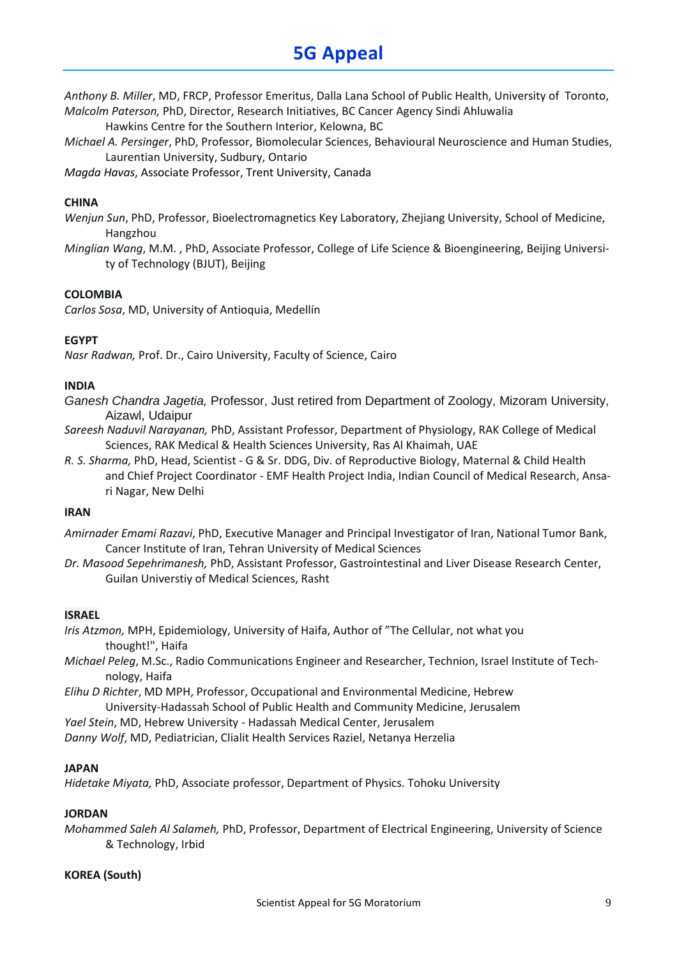*Anthony B. Miller*, MD, FRCP, Professor Emeritus, Dalla Lana School of Public Health, University of Toronto, *Malcolm Paterson,* PhD, Director, Research Initiatives, BC Cancer Agency Sindi Ahluwalia

Hawkins Centre for the Southern Interior, Kelowna, BC

*Michael A. Persinger*, PhD, Professor, Biomolecular Sciences, Behavioural Neuroscience and Human Studies, Laurentian University, Sudbury, Ontario

*Magda Havas*, Associate Professor, Trent University, Canada

## **CHINA**

- *Wenjun Sun*, PhD, Professor, Bioelectromagnetics Key Laboratory, Zhejiang University, School of Medicine, Hangzhou
- *Minglian Wang*, M.M. , PhD, Associate Professor, College of Life Science & Bioengineering, Beijing University of Technology (BJUT), Beijing

## **COLOMBIA**

*Carlos Sosa*, MD, University of Antioquia, Medellín

## **EGYPT**

*Nasr Radwan,* Prof. Dr., Cairo University, Faculty of Science, Cairo

## **INDIA**

- *Ganesh Chandra Jagetia,* Professor, Just retired from Department of Zoology, Mizoram University, Aizawl, Udaipur
- *Sareesh Naduvil Narayanan,* PhD, Assistant Professor, Department of Physiology, RAK College of Medical Sciences, RAK Medical & Health Sciences University, Ras Al Khaimah, UAE
- *R. S. Sharma,* PhD, Head, Scientist G & Sr. DDG, Div. of Reproductive Biology, Maternal & Child Health and Chief Project Coordinator - EMF Health Project India, Indian Council of Medical Research, Ansari Nagar, New Delhi

## **IRAN**

- *Amirnader Emami Razavi*, PhD, Executive Manager and Principal Investigator of Iran, National Tumor Bank, Cancer Institute of Iran, Tehran University of Medical Sciences
- *Dr. Masood Sepehrimanesh,* PhD, Assistant Professor, Gastrointestinal and Liver Disease Research Center, Guilan Universtiy of Medical Sciences, Rasht

## **ISRAEL**

*Iris Atzmon,* MPH, Epidemiology, University of Haifa, Author of "The Cellular, not what you thought!", Haifa

- *Michael Peleg*, M.Sc., Radio Communications Engineer and Researcher, Technion, Israel Institute of Technology, Haifa
- *Elihu D Richter*, MD MPH, Professor, Occupational and Environmental Medicine, Hebrew University-Hadassah School of Public Health and Community Medicine, Jerusalem

*Yael Stein*, MD, Hebrew University - Hadassah Medical Center, Jerusalem

*Danny Wolf*, MD, Pediatrician, Clialit Health Services Raziel, Netanya Herzelia

## **JAPAN**

*Hidetake Miyata,* PhD, Associate professor, Department of Physics. Tohoku University

## **JORDAN**

*Mohammed Saleh Al Salameh,* PhD, Professor, Department of Electrical Engineering, University of Science & Technology, Irbid

## **KOREA (South)**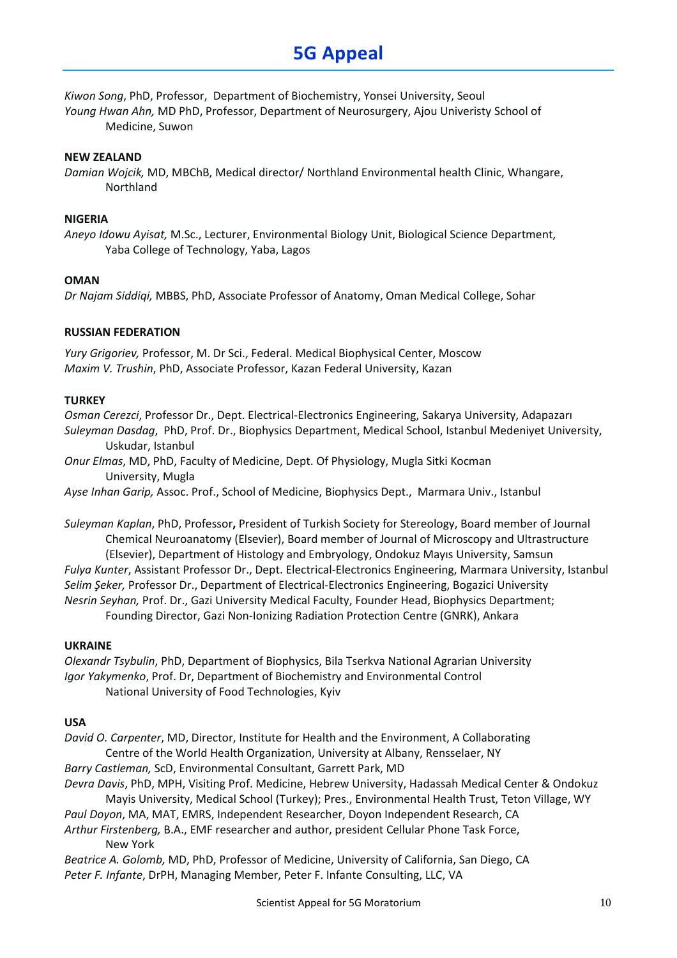*Kiwon Song*, PhD, Professor, Department of Biochemistry, Yonsei University, Seoul *Young Hwan Ahn,* MD PhD, Professor, Department of Neurosurgery, Ajou Univeristy School of Medicine, Suwon

### **NEW ZEALAND**

*Damian Wojcik,* MD, MBChB, Medical director/ Northland Environmental health Clinic, Whangare, Northland

### **NIGERIA**

*Aneyo Idowu Ayisat,* M.Sc., Lecturer, Environmental Biology Unit, Biological Science Department, Yaba College of Technology, Yaba, Lagos

### **OMAN**

*Dr Najam Siddiqi,* MBBS, PhD, Associate Professor of Anatomy, Oman Medical College, Sohar

## **RUSSIAN FEDERATION**

*Yury Grigoriev,* Professor, M. Dr Sci., Federal. Medical Biophysical Center, Moscow *Maxim V. Trushin*, PhD, Associate Professor, Kazan Federal University, Kazan

### **TURKEY**

*Osman Cerezci*, Professor Dr., Dept. Electrical-Electronics Engineering, Sakarya University, Adapazarı *Suleyman Dasdag*, PhD, Prof. Dr., Biophysics Department, Medical School, Istanbul Medeniyet University, Uskudar, Istanbul

*Onur Elmas*, MD, PhD, Faculty of Medicine, Dept. Of Physiology, Mugla Sitki Kocman University, Mugla

*Ayse Inhan Garip,* Assoc. Prof., School of Medicine, Biophysics Dept., Marmara Univ., Istanbul

*Suleyman Kaplan*, PhD, Professor**,** President of Turkish Society for Stereology, Board member of Journal Chemical Neuroanatomy (Elsevier), Board member of Journal of Microscopy and Ultrastructure (Elsevier), Department of Histology and Embryology, Ondokuz Mayıs University, Samsun *Fulya Kunter*, Assistant Professor Dr., Dept. Electrical-Electronics Engineering, Marmara University, Istanbul *Selim Şeker,* Professor Dr., Department of Electrical-Electronics Engineering, Bogazici University *Nesrin Seyhan,* Prof. Dr., Gazi University Medical Faculty, Founder Head, Biophysics Department; Founding Director, Gazi Non-Ionizing Radiation Protection Centre (GNRK), Ankara

#### **UKRAINE**

*Olexandr Tsybulin*, PhD, Department of Biophysics, Bila Tserkva National Agrarian University *Igor Yakymenko*, Prof. Dr, Department of Biochemistry and Environmental Control National University of Food Technologies, Kyiv

## **USA**

*David O. Carpenter*, MD, Director, Institute for Health and the Environment, A Collaborating Centre of the World Health Organization, University at Albany, Rensselaer, NY *Barry Castleman,* ScD, Environmental Consultant, Garrett Park, MD

*Devra Davis*, PhD, MPH, Visiting Prof. Medicine, Hebrew University, Hadassah Medical Center & Ondokuz Mayis University, Medical School (Turkey); Pres., Environmental Health Trust, Teton Village, WY

*Paul Doyon*, MA, MAT, EMRS, Independent Researcher, Doyon Independent Research, CA *Arthur Firstenberg,* B.A., EMF researcher and author, president Cellular Phone Task Force,

New York

*Beatrice A. Golomb,* MD, PhD, Professor of Medicine, University of California, San Diego, CA *Peter F. Infante*, DrPH, Managing Member, Peter F. Infante Consulting, LLC, VA